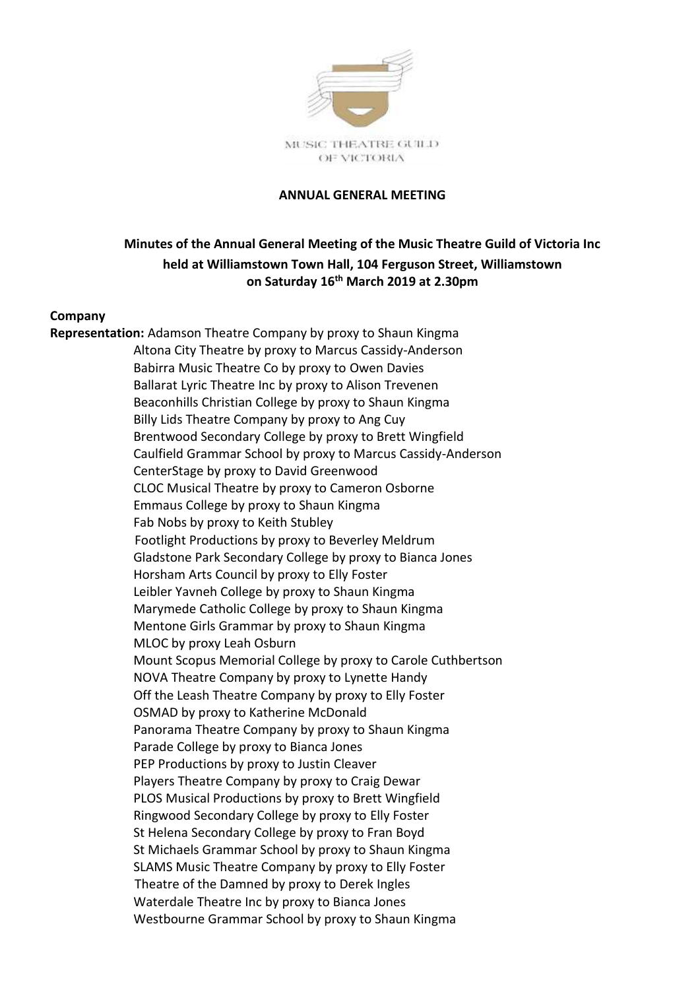

#### **ANNUAL GENERAL MEETING**

# **Minutes of the Annual General Meeting of the Music Theatre Guild of Victoria Inc held at Williamstown Town Hall, 104 Ferguson Street, Williamstown on Saturday 16 th March 2019 at 2.30pm**

#### **Company**

**Representation:** Adamson Theatre Company by proxy to Shaun Kingma Altona City Theatre by proxy to Marcus Cassidy-Anderson Babirra Music Theatre Co by proxy to Owen Davies Ballarat Lyric Theatre Inc by proxy to Alison Trevenen Beaconhills Christian College by proxy to Shaun Kingma Billy Lids Theatre Company by proxy to Ang Cuy Brentwood Secondary College by proxy to Brett Wingfield Caulfield Grammar School by proxy to Marcus Cassidy-Anderson CenterStage by proxy to David Greenwood CLOC Musical Theatre by proxy to Cameron Osborne Emmaus College by proxy to Shaun Kingma Fab Nobs by proxy to Keith Stubley Footlight Productions by proxy to Beverley Meldrum Gladstone Park Secondary College by proxy to Bianca Jones Horsham Arts Council by proxy to Elly Foster Leibler Yavneh College by proxy to Shaun Kingma Marymede Catholic College by proxy to Shaun Kingma Mentone Girls Grammar by proxy to Shaun Kingma MLOC by proxy Leah Osburn Mount Scopus Memorial College by proxy to Carole Cuthbertson NOVA Theatre Company by proxy to Lynette Handy Off the Leash Theatre Company by proxy to Elly Foster OSMAD by proxy to Katherine McDonald Panorama Theatre Company by proxy to Shaun Kingma Parade College by proxy to Bianca Jones PEP Productions by proxy to Justin Cleaver Players Theatre Company by proxy to Craig Dewar PLOS Musical Productions by proxy to Brett Wingfield Ringwood Secondary College by proxy to Elly Foster St Helena Secondary College by proxy to Fran Boyd St Michaels Grammar School by proxy to Shaun Kingma SLAMS Music Theatre Company by proxy to Elly Foster Theatre of the Damned by proxy to Derek Ingles Waterdale Theatre Inc by proxy to Bianca Jones Westbourne Grammar School by proxy to Shaun Kingma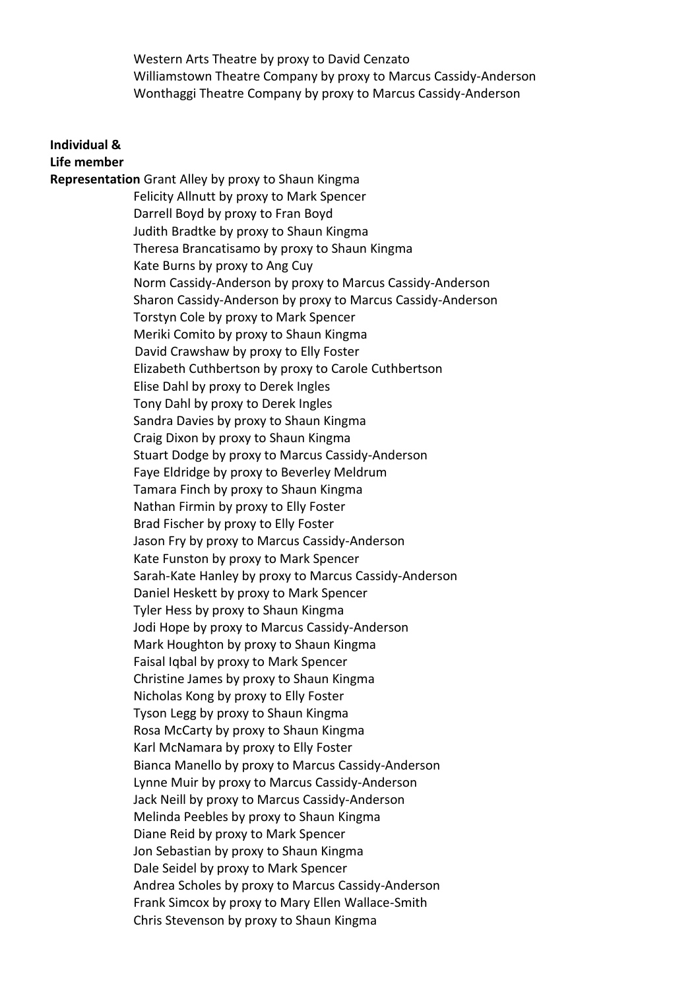Western Arts Theatre by proxy to David Cenzato Williamstown Theatre Company by proxy to Marcus Cassidy-Anderson Wonthaggi Theatre Company by proxy to Marcus Cassidy-Anderson

#### **Individual & Life member**

**Representation** Grant Alley by proxy to Shaun Kingma Felicity Allnutt by proxy to Mark Spencer Darrell Boyd by proxy to Fran Boyd Judith Bradtke by proxy to Shaun Kingma Theresa Brancatisamo by proxy to Shaun Kingma Kate Burns by proxy to Ang Cuy Norm Cassidy-Anderson by proxy to Marcus Cassidy-Anderson Sharon Cassidy-Anderson by proxy to Marcus Cassidy-Anderson Torstyn Cole by proxy to Mark Spencer Meriki Comito by proxy to Shaun Kingma David Crawshaw by proxy to Elly Foster Elizabeth Cuthbertson by proxy to Carole Cuthbertson Elise Dahl by proxy to Derek Ingles Tony Dahl by proxy to Derek Ingles Sandra Davies by proxy to Shaun Kingma Craig Dixon by proxy to Shaun Kingma Stuart Dodge by proxy to Marcus Cassidy-Anderson Faye Eldridge by proxy to Beverley Meldrum Tamara Finch by proxy to Shaun Kingma Nathan Firmin by proxy to Elly Foster Brad Fischer by proxy to Elly Foster Jason Fry by proxy to Marcus Cassidy-Anderson Kate Funston by proxy to Mark Spencer Sarah-Kate Hanley by proxy to Marcus Cassidy-Anderson Daniel Heskett by proxy to Mark Spencer Tyler Hess by proxy to Shaun Kingma Jodi Hope by proxy to Marcus Cassidy-Anderson Mark Houghton by proxy to Shaun Kingma Faisal Iqbal by proxy to Mark Spencer Christine James by proxy to Shaun Kingma Nicholas Kong by proxy to Elly Foster Tyson Legg by proxy to Shaun Kingma Rosa McCarty by proxy to Shaun Kingma Karl McNamara by proxy to Elly Foster Bianca Manello by proxy to Marcus Cassidy-Anderson Lynne Muir by proxy to Marcus Cassidy-Anderson Jack Neill by proxy to Marcus Cassidy-Anderson Melinda Peebles by proxy to Shaun Kingma Diane Reid by proxy to Mark Spencer Jon Sebastian by proxy to Shaun Kingma Dale Seidel by proxy to Mark Spencer Andrea Scholes by proxy to Marcus Cassidy-Anderson Frank Simcox by proxy to Mary Ellen Wallace-Smith Chris Stevenson by proxy to Shaun Kingma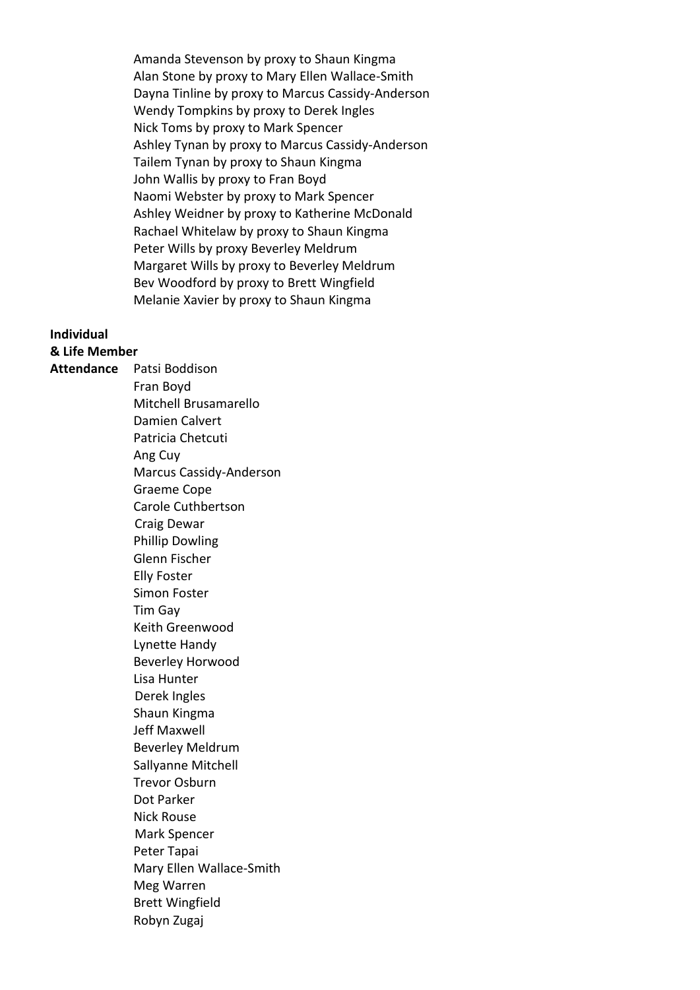Amanda Stevenson by proxy to Shaun Kingma Alan Stone by proxy to Mary Ellen Wallace-Smith Dayna Tinline by proxy to Marcus Cassidy-Anderson Wendy Tompkins by proxy to Derek Ingles Nick Toms by proxy to Mark Spencer Ashley Tynan by proxy to Marcus Cassidy-Anderson Tailem Tynan by proxy to Shaun Kingma John Wallis by proxy to Fran Boyd Naomi Webster by proxy to Mark Spencer Ashley Weidner by proxy to Katherine McDonald Rachael Whitelaw by proxy to Shaun Kingma Peter Wills by proxy Beverley Meldrum Margaret Wills by proxy to Beverley Meldrum Bev Woodford by proxy to Brett Wingfield Melanie Xavier by proxy to Shaun Kingma

## **Individual**

**& Life Member Attendance** Patsi Boddison Fran Boyd Mitchell Brusamarello Damien Calvert Patricia Chetcuti Ang Cuy Marcus Cassidy-Anderson Graeme Cope Carole Cuthbertson Craig Dewar Phillip Dowling Glenn Fischer Elly Foster Simon Foster Tim Gay Keith Greenwood Lynette Handy Beverley Horwood Lisa Hunter Derek Ingles Shaun Kingma Jeff Maxwell Beverley Meldrum Sallyanne Mitchell Trevor Osburn Dot Parker Nick Rouse Mark Spencer Peter Tapai Mary Ellen Wallace-Smith Meg Warren Brett Wingfield Robyn Zugaj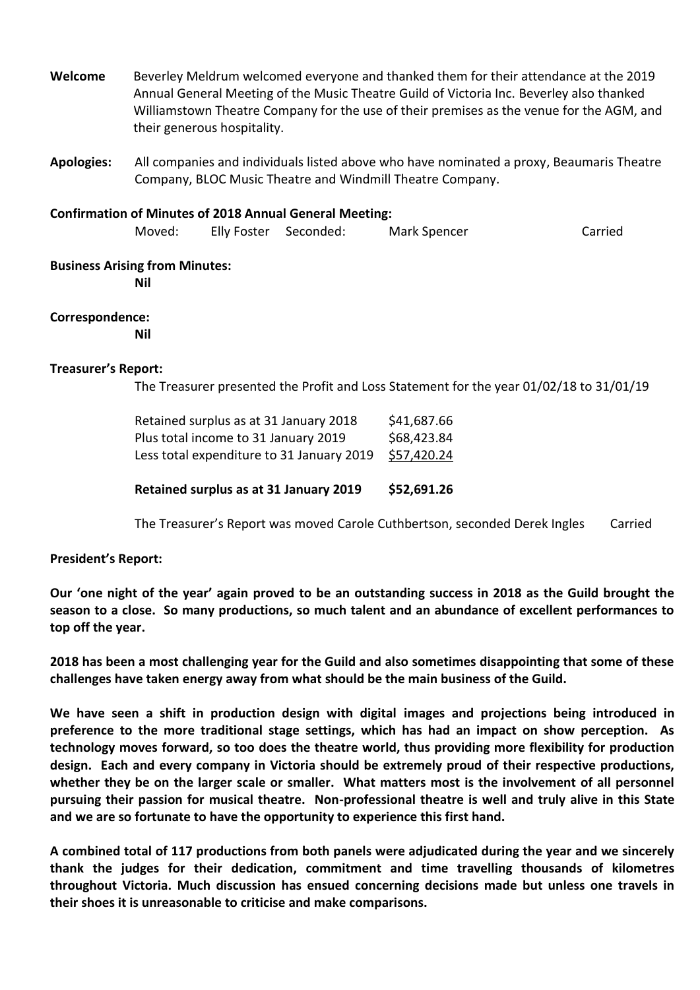**Welcome** Beverley Meldrum welcomed everyone and thanked them for their attendance at the 2019 Annual General Meeting of the Music Theatre Guild of Victoria Inc. Beverley also thanked Williamstown Theatre Company for the use of their premises as the venue for the AGM, and their generous hospitality.

**Apologies:** All companies and individuals listed above who have nominated a proxy, Beaumaris Theatre Company, BLOC Music Theatre and Windmill Theatre Company.

#### **Confirmation of Minutes of 2018 Annual General Meeting:**

| Moved: |  | Elly Foster Seconded: | Mark Spencer | Carried |
|--------|--|-----------------------|--------------|---------|
|--------|--|-----------------------|--------------|---------|

#### **Business Arising from Minutes:**

**Nil**

## **Correspondence:**

**Nil**

## **Treasurer's Report:**

The Treasurer presented the Profit and Loss Statement for the year 01/02/18 to 31/01/19

| Retained surplus as at 31 January 2018    | \$41,687.66 |
|-------------------------------------------|-------------|
| Plus total income to 31 January 2019      | \$68,423.84 |
| Less total expenditure to 31 January 2019 | \$57,420.24 |
|                                           |             |

**Retained surplus as at 31 January 2019 \$52,691.26**

The Treasurer's Report was moved Carole Cuthbertson, seconded Derek Ingles Carried

## **President's Report:**

**Our 'one night of the year' again proved to be an outstanding success in 2018 as the Guild brought the season to a close. So many productions, so much talent and an abundance of excellent performances to top off the year.**

**2018 has been a most challenging year for the Guild and also sometimes disappointing that some of these challenges have taken energy away from what should be the main business of the Guild.** 

**We have seen a shift in production design with digital images and projections being introduced in preference to the more traditional stage settings, which has had an impact on show perception. As technology moves forward, so too does the theatre world, thus providing more flexibility for production design. Each and every company in Victoria should be extremely proud of their respective productions, whether they be on the larger scale or smaller. What matters most is the involvement of all personnel pursuing their passion for musical theatre. Non-professional theatre is well and truly alive in this State and we are so fortunate to have the opportunity to experience this first hand.**

**A combined total of 117 productions from both panels were adjudicated during the year and we sincerely thank the judges for their dedication, commitment and time travelling thousands of kilometres throughout Victoria. Much discussion has ensued concerning decisions made but unless one travels in their shoes it is unreasonable to criticise and make comparisons.**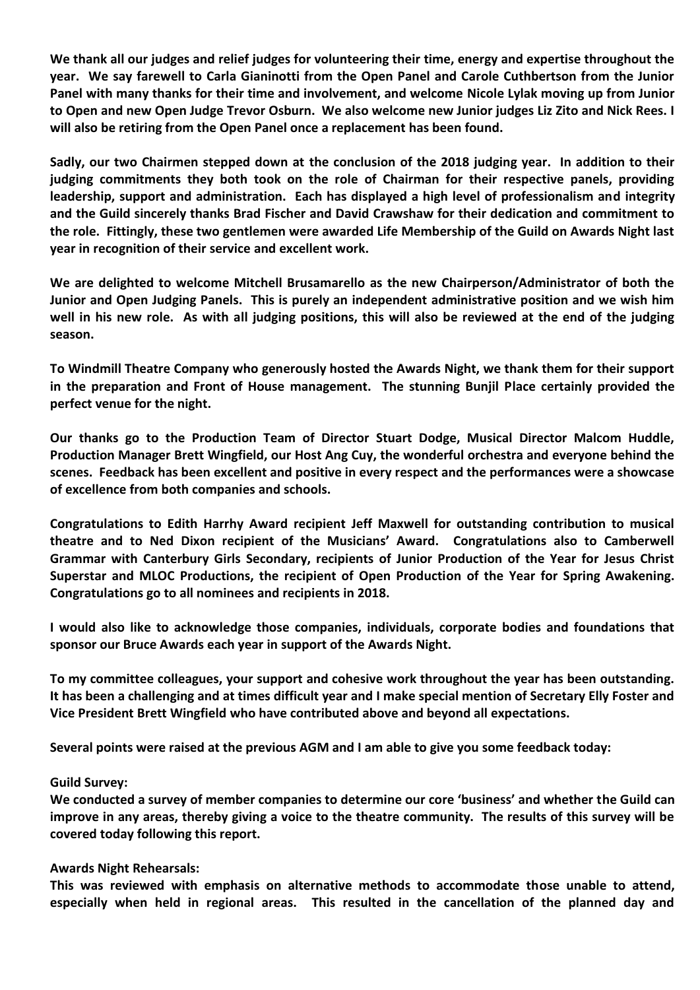**We thank all our judges and relief judges for volunteering their time, energy and expertise throughout the year. We say farewell to Carla Gianinotti from the Open Panel and Carole Cuthbertson from the Junior Panel with many thanks for their time and involvement, and welcome Nicole Lylak moving up from Junior to Open and new Open Judge Trevor Osburn. We also welcome new Junior judges Liz Zito and Nick Rees. I will also be retiring from the Open Panel once a replacement has been found.**

**Sadly, our two Chairmen stepped down at the conclusion of the 2018 judging year. In addition to their judging commitments they both took on the role of Chairman for their respective panels, providing leadership, support and administration. Each has displayed a high level of professionalism and integrity and the Guild sincerely thanks Brad Fischer and David Crawshaw for their dedication and commitment to the role. Fittingly, these two gentlemen were awarded Life Membership of the Guild on Awards Night last year in recognition of their service and excellent work.** 

**We are delighted to welcome Mitchell Brusamarello as the new Chairperson/Administrator of both the Junior and Open Judging Panels. This is purely an independent administrative position and we wish him well in his new role. As with all judging positions, this will also be reviewed at the end of the judging season.**

**To Windmill Theatre Company who generously hosted the Awards Night, we thank them for their support in the preparation and Front of House management. The stunning Bunjil Place certainly provided the perfect venue for the night.**

**Our thanks go to the Production Team of Director Stuart Dodge, Musical Director Malcom Huddle, Production Manager Brett Wingfield, our Host Ang Cuy, the wonderful orchestra and everyone behind the scenes. Feedback has been excellent and positive in every respect and the performances were a showcase of excellence from both companies and schools.**

**Congratulations to Edith Harrhy Award recipient Jeff Maxwell for outstanding contribution to musical theatre and to Ned Dixon recipient of the Musicians' Award. Congratulations also to Camberwell Grammar with Canterbury Girls Secondary, recipients of Junior Production of the Year for Jesus Christ Superstar and MLOC Productions, the recipient of Open Production of the Year for Spring Awakening. Congratulations go to all nominees and recipients in 2018.** 

**I would also like to acknowledge those companies, individuals, corporate bodies and foundations that sponsor our Bruce Awards each year in support of the Awards Night.** 

**To my committee colleagues, your support and cohesive work throughout the year has been outstanding. It has been a challenging and at times difficult year and I make special mention of Secretary Elly Foster and Vice President Brett Wingfield who have contributed above and beyond all expectations.**

**Several points were raised at the previous AGM and I am able to give you some feedback today:**

## **Guild Survey:**

**We conducted a survey of member companies to determine our core 'business' and whether the Guild can improve in any areas, thereby giving a voice to the theatre community. The results of this survey will be covered today following this report.**

## **Awards Night Rehearsals:**

**This was reviewed with emphasis on alternative methods to accommodate those unable to attend, especially when held in regional areas. This resulted in the cancellation of the planned day and**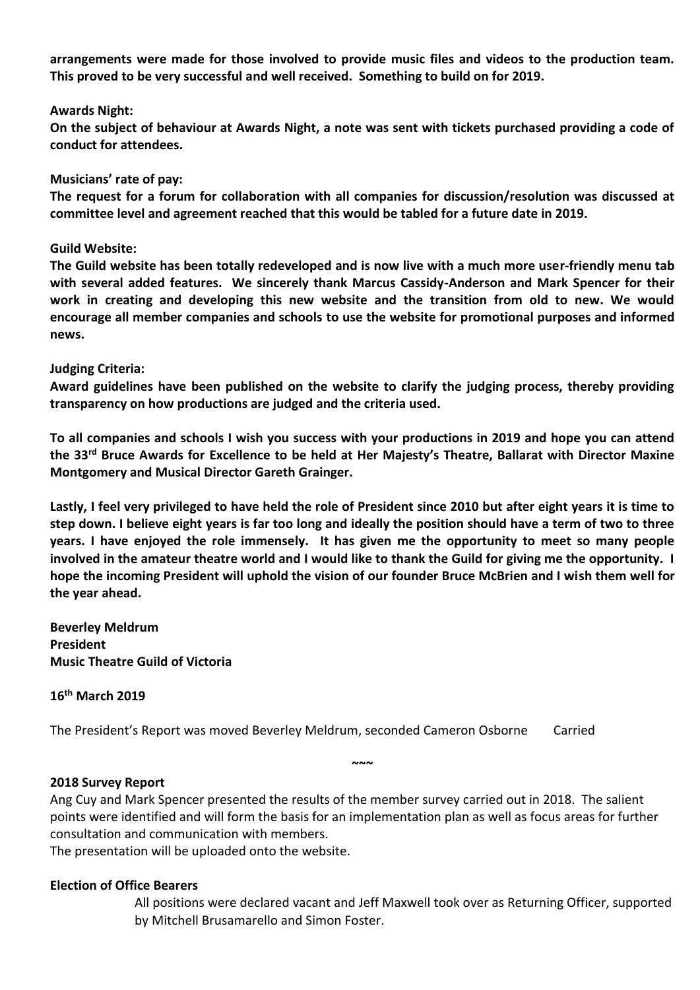**arrangements were made for those involved to provide music files and videos to the production team. This proved to be very successful and well received. Something to build on for 2019.**

#### **Awards Night:**

**On the subject of behaviour at Awards Night, a note was sent with tickets purchased providing a code of conduct for attendees.**

#### **Musicians' rate of pay:**

**The request for a forum for collaboration with all companies for discussion/resolution was discussed at committee level and agreement reached that this would be tabled for a future date in 2019.**

#### **Guild Website:**

**The Guild website has been totally redeveloped and is now live with a much more user-friendly menu tab with several added features. We sincerely thank Marcus Cassidy-Anderson and Mark Spencer for their work in creating and developing this new website and the transition from old to new. We would encourage all member companies and schools to use the website for promotional purposes and informed news.**

#### **Judging Criteria:**

**Award guidelines have been published on the website to clarify the judging process, thereby providing transparency on how productions are judged and the criteria used.**

**To all companies and schools I wish you success with your productions in 2019 and hope you can attend the 33rd Bruce Awards for Excellence to be held at Her Majesty's Theatre, Ballarat with Director Maxine Montgomery and Musical Director Gareth Grainger.**

**Lastly, I feel very privileged to have held the role of President since 2010 but after eight years it is time to step down. I believe eight years is far too long and ideally the position should have a term of two to three years. I have enjoyed the role immensely. It has given me the opportunity to meet so many people involved in the amateur theatre world and I would like to thank the Guild for giving me the opportunity. I hope the incoming President will uphold the vision of our founder Bruce McBrien and I wish them well for the year ahead.** 

**Beverley Meldrum President Music Theatre Guild of Victoria**

**16th March 2019**

The President's Report was moved Beverley Meldrum, seconded Cameron Osborne Carried

## **2018 Survey Report**

Ang Cuy and Mark Spencer presented the results of the member survey carried out in 2018. The salient points were identified and will form the basis for an implementation plan as well as focus areas for further consultation and communication with members.

**~~~**

The presentation will be uploaded onto the website.

## **Election of Office Bearers**

All positions were declared vacant and Jeff Maxwell took over as Returning Officer, supported by Mitchell Brusamarello and Simon Foster.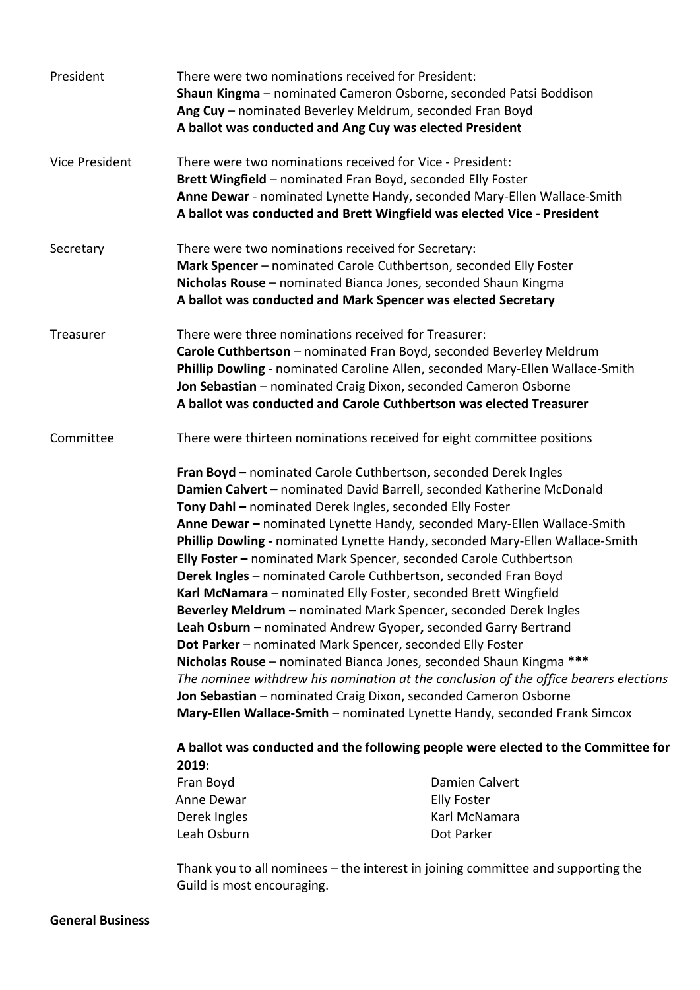| President             | There were two nominations received for President:                                                                                                                                                                                                                                                                                                                                                                                                                                                                                                                                                                                                                                                                                                                                                                                                                                                                                                                                                                                                                                                                                                                                                                          | Shaun Kingma - nominated Cameron Osborne, seconded Patsi Boddison<br>Ang Cuy - nominated Beverley Meldrum, seconded Fran Boyd<br>A ballot was conducted and Ang Cuy was elected President |  |  |
|-----------------------|-----------------------------------------------------------------------------------------------------------------------------------------------------------------------------------------------------------------------------------------------------------------------------------------------------------------------------------------------------------------------------------------------------------------------------------------------------------------------------------------------------------------------------------------------------------------------------------------------------------------------------------------------------------------------------------------------------------------------------------------------------------------------------------------------------------------------------------------------------------------------------------------------------------------------------------------------------------------------------------------------------------------------------------------------------------------------------------------------------------------------------------------------------------------------------------------------------------------------------|-------------------------------------------------------------------------------------------------------------------------------------------------------------------------------------------|--|--|
| <b>Vice President</b> | There were two nominations received for Vice - President:<br>Brett Wingfield - nominated Fran Boyd, seconded Elly Foster<br>Anne Dewar - nominated Lynette Handy, seconded Mary-Ellen Wallace-Smith<br>A ballot was conducted and Brett Wingfield was elected Vice - President                                                                                                                                                                                                                                                                                                                                                                                                                                                                                                                                                                                                                                                                                                                                                                                                                                                                                                                                              |                                                                                                                                                                                           |  |  |
| Secretary             | There were two nominations received for Secretary:<br>Mark Spencer - nominated Carole Cuthbertson, seconded Elly Foster<br>Nicholas Rouse - nominated Bianca Jones, seconded Shaun Kingma<br>A ballot was conducted and Mark Spencer was elected Secretary                                                                                                                                                                                                                                                                                                                                                                                                                                                                                                                                                                                                                                                                                                                                                                                                                                                                                                                                                                  |                                                                                                                                                                                           |  |  |
| Treasurer             | There were three nominations received for Treasurer:<br>Carole Cuthbertson - nominated Fran Boyd, seconded Beverley Meldrum<br>Phillip Dowling - nominated Caroline Allen, seconded Mary-Ellen Wallace-Smith<br>Jon Sebastian - nominated Craig Dixon, seconded Cameron Osborne<br>A ballot was conducted and Carole Cuthbertson was elected Treasurer                                                                                                                                                                                                                                                                                                                                                                                                                                                                                                                                                                                                                                                                                                                                                                                                                                                                      |                                                                                                                                                                                           |  |  |
| Committee             | There were thirteen nominations received for eight committee positions                                                                                                                                                                                                                                                                                                                                                                                                                                                                                                                                                                                                                                                                                                                                                                                                                                                                                                                                                                                                                                                                                                                                                      |                                                                                                                                                                                           |  |  |
|                       | Damien Calvert - nominated David Barrell, seconded Katherine McDonald<br>Tony Dahl - nominated Derek Ingles, seconded Elly Foster<br>Anne Dewar - nominated Lynette Handy, seconded Mary-Ellen Wallace-Smith<br>Phillip Dowling - nominated Lynette Handy, seconded Mary-Ellen Wallace-Smith<br>Elly Foster - nominated Mark Spencer, seconded Carole Cuthbertson<br>Derek Ingles - nominated Carole Cuthbertson, seconded Fran Boyd<br>Karl McNamara - nominated Elly Foster, seconded Brett Wingfield<br>Beverley Meldrum - nominated Mark Spencer, seconded Derek Ingles<br>Leah Osburn - nominated Andrew Gyoper, seconded Garry Bertrand<br>Dot Parker - nominated Mark Spencer, seconded Elly Foster<br>Nicholas Rouse - nominated Bianca Jones, seconded Shaun Kingma ***<br>The nominee withdrew his nomination at the conclusion of the office bearers elections<br>Jon Sebastian - nominated Craig Dixon, seconded Cameron Osborne<br>Mary-Ellen Wallace-Smith - nominated Lynette Handy, seconded Frank Simcox<br>A ballot was conducted and the following people were elected to the Committee for<br>2019:<br>Damien Calvert<br>Fran Boyd<br>Anne Dewar<br><b>Elly Foster</b><br>Karl McNamara<br>Derek Ingles |                                                                                                                                                                                           |  |  |
|                       | Leah Osburn                                                                                                                                                                                                                                                                                                                                                                                                                                                                                                                                                                                                                                                                                                                                                                                                                                                                                                                                                                                                                                                                                                                                                                                                                 | Dot Parker                                                                                                                                                                                |  |  |

Thank you to all nominees – the interest in joining committee and supporting the Guild is most encouraging.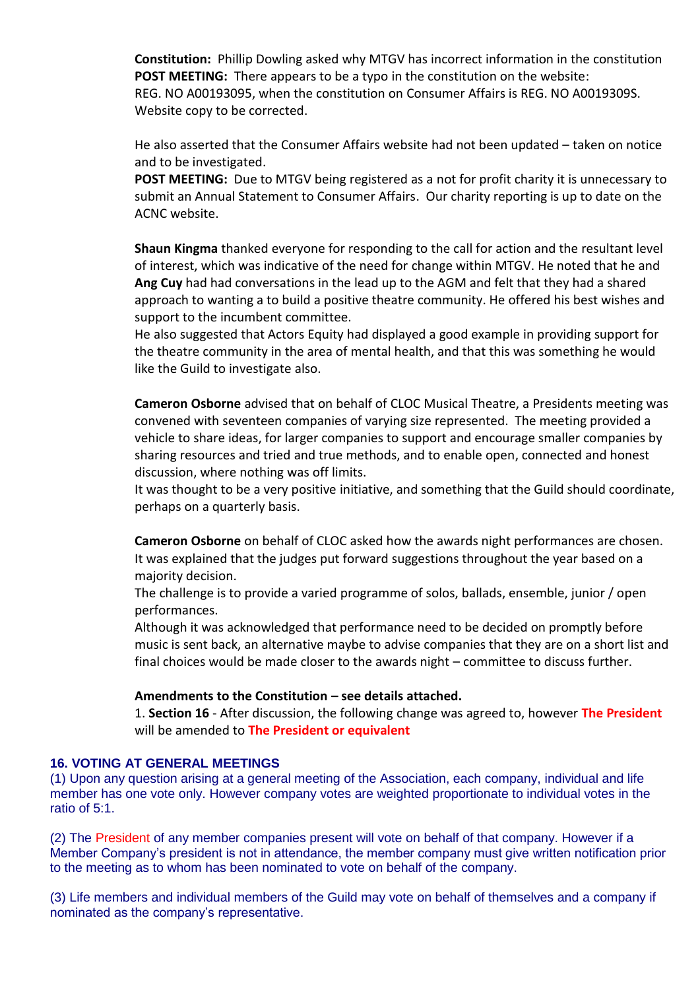**Constitution:** Phillip Dowling asked why MTGV has incorrect information in the constitution **POST MEETING:** There appears to be a typo in the constitution on the website: REG. NO A00193095, when the constitution on Consumer Affairs is REG. NO A0019309S. Website copy to be corrected.

He also asserted that the Consumer Affairs website had not been updated – taken on notice and to be investigated.

**POST MEETING:** Due to MTGV being registered as a not for profit charity it is unnecessary to submit an Annual Statement to Consumer Affairs. Our charity reporting is up to date on the ACNC website.

**Shaun Kingma** thanked everyone for responding to the call for action and the resultant level of interest, which was indicative of the need for change within MTGV. He noted that he and **Ang Cuy** had had conversations in the lead up to the AGM and felt that they had a shared approach to wanting a to build a positive theatre community. He offered his best wishes and support to the incumbent committee.

He also suggested that Actors Equity had displayed a good example in providing support for the theatre community in the area of mental health, and that this was something he would like the Guild to investigate also.

**Cameron Osborne** advised that on behalf of CLOC Musical Theatre, a Presidents meeting was convened with seventeen companies of varying size represented. The meeting provided a vehicle to share ideas, for larger companies to support and encourage smaller companies by sharing resources and tried and true methods, and to enable open, connected and honest discussion, where nothing was off limits.

It was thought to be a very positive initiative, and something that the Guild should coordinate, perhaps on a quarterly basis.

**Cameron Osborne** on behalf of CLOC asked how the awards night performances are chosen. It was explained that the judges put forward suggestions throughout the year based on a majority decision.

The challenge is to provide a varied programme of solos, ballads, ensemble, junior / open performances.

Although it was acknowledged that performance need to be decided on promptly before music is sent back, an alternative maybe to advise companies that they are on a short list and final choices would be made closer to the awards night – committee to discuss further.

## **Amendments to the Constitution – see details attached.**

1. **Section 16** - After discussion, the following change was agreed to, however **The President** will be amended to **The President or equivalent**

## **16. VOTING AT GENERAL MEETINGS**

(1) Upon any question arising at a general meeting of the Association, each company, individual and life member has one vote only. However company votes are weighted proportionate to individual votes in the ratio of 5:1.

(2) The President of any member companies present will vote on behalf of that company. However if a Member Company's president is not in attendance, the member company must give written notification prior to the meeting as to whom has been nominated to vote on behalf of the company.

(3) Life members and individual members of the Guild may vote on behalf of themselves and a company if nominated as the company's representative.